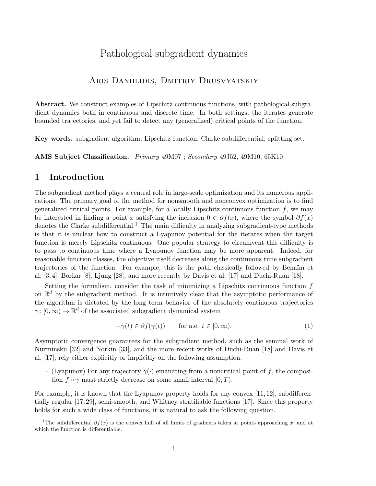# Pathological subgradient dynamics

### Aris Daniilidis, Dmitriy Drusvyatskiy

Abstract. We construct examples of Lipschitz continuous functions, with pathological subgradient dynamics both in continuous and discrete time. In both settings, the iterates generate bounded trajectories, and yet fail to detect any (generalized) critical points of the function.

Key words. subgradient algorithm, Lipschitz function, Clarke subdifferential, splitting set.

AMS Subject Classification. Primary 49M07 ; Secondary 49J52, 49M10, 65K10

### 1 Introduction

The subgradient method plays a central role in large-scale optimization and its numerous applications. The primary goal of the method for nonsmooth and nonconvex optimization is to find generalized critical points. For example, for a locally Lipschitz continuous function  $f$ , we may be interested in finding a point x satisfying the inclusion  $0 \in \partial f(x)$ , where the symbol  $\partial f(x)$ denotes the Clarke subdifferential.<sup>1</sup> The main difficulty in analyzing subgradient-type methods is that it is unclear how to construct a Lyapunov potential for the iterates when the target function is merely Lipschitz continuous. One popular strategy to circumvent this difficulty is to pass to continuous time where a Lyapunov function may be more apparent. Indeed, for reasonable function classes, the objective itself decreases along the continuous time subgradient trajectories of the function. For example, this is the path classically followed by Benaïm et al. [3, 4], Borkar [8], Ljung [28], and more recently by Davis et al. [17] and Duchi-Ruan [18].

Setting the formalism, consider the task of minimizing a Lipschitz continuous function  $f$ on  $\mathbb{R}^d$  by the subgradient method. It is intuitively clear that the asymptotic performance of the algorithm is dictated by the long term behavior of the absolutely continuous trajectories  $\gamma: [0, \infty) \to \mathbb{R}^d$  of the associated subgradient dynamical system

$$
-\dot{\gamma}(t) \in \partial f(\gamma(t)) \qquad \text{for a.e. } t \in [0, \infty). \tag{1}
$$

Asymptotic convergence guarantees for the subgradient method, such as the seminal work of Nurminskii [32] and Norkin [33], and the more recent works of Duchi-Ruan [18] and Davis et al. [17], rely either explicitly or implicitly on the following assumption.

- (Lyapunov) For any trajectory  $\gamma(\cdot)$  emanating from a noncritical point of f, the composition  $f \circ \gamma$  must strictly decrease on some small interval  $[0, T)$ .

For example, it is known that the Lyapunov property holds for any convex [11, 12], subdifferentially regular [17, 29], semi-smooth, and Whitney stratifiable functions [17]. Since this property holds for such a wide class of functions, it is natural to ask the following question.

<sup>&</sup>lt;sup>1</sup>The subdifferential  $\partial f(x)$  is the convex hull of all limits of gradients taken at points approaching x, and at which the function is differentiable.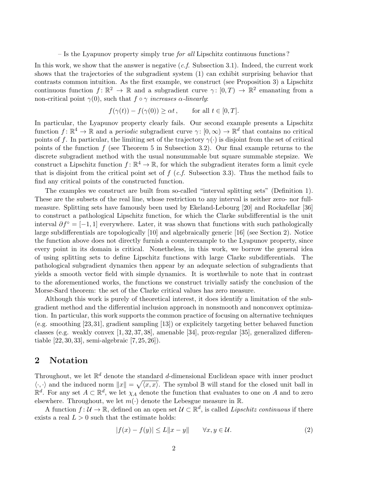– Is the Lyapunov property simply true *for all* Lipschitz continuous functions ?

In this work, we show that the answer is negative  $(c.f.$  Subsection 3.1). Indeed, the current work shows that the trajectories of the subgradient system (1) can exhibit surprising behavior that contrasts common intuition. As the first example, we construct (see Proposition 3) a Lipschitz continuous function  $f: \mathbb{R}^2 \to \mathbb{R}$  and a subgradient curve  $\gamma: [0, T) \to \mathbb{R}^2$  emanating from a non-critical point  $\gamma(0)$ , such that  $f \circ \gamma$  increases  $\alpha$ -linearly:

$$
f(\gamma(t)) - f(\gamma(0)) \ge \alpha t
$$
, for all  $t \in [0, T]$ .

In particular, the Lyapunov property clearly fails. Our second example presents a Lipschitz function  $f: \mathbb{R}^4 \to \mathbb{R}$  and a *periodic* subgradient curve  $\gamma: [0, \infty) \to \mathbb{R}^d$  that contains no critical points of f. In particular, the limiting set of the trajectory  $\gamma(.)$  is disjoint from the set of critical points of the function  $f$  (see Theorem 5 in Subsection 3.2). Our final example returns to the discrete subgradient method with the usual nonsummable but square summable stepsize. We construct a Lipschitz function  $f: \mathbb{R}^4 \to \mathbb{R}$ , for which the subgradient iterates form a limit cycle that is disjoint from the critical point set of  $f(c.f.$  Subsection 3.3). Thus the method fails to find any critical points of the constructed function.

The examples we construct are built from so-called "interval splitting sets" (Definition 1). These are the subsets of the real line, whose restriction to any interval is neither zero- nor fullmeasure. Splitting sets have famously been used by Ekeland-Lebourg [20] and Rockafellar [36] to construct a pathological Lipschitz function, for which the Clarke subdifferential is the unit interval  $\partial f^{\circ} = [-1, 1]$  everywhere. Later, it was shown that functions with such pathologically large subdifferentials are topologically [10] and algebraically generic [16] (see Section 2). Notice the function above does not directly furnish a counterexample to the Lyapunov property, since every point in its domain is critical. Nonetheless, in this work, we borrow the general idea of using splitting sets to define Lipschitz functions with large Clarke subdifferentials. The pathological subgradient dynamics then appear by an adequate selection of subgradients that yields a smooth vector field with simple dynamics. It is worthwhile to note that in contrast to the aforementioned works, the functions we construct trivially satisfy the conclusion of the Morse-Sard theorem: the set of the Clarke critical values has zero measure.

Although this work is purely of theoretical interest, it does identify a limitation of the subgradient method and the differential inclusion approach in nonsmooth and nonconvex optimization. In particular, this work supports the common practice of focusing on alternative techniques (e.g. smoothing [23, 31], gradient sampling [13]) or explicitely targeting better behaved function classes (e.g. weakly convex [1, 32, 37, 38], amenable [34], prox-regular [35], generalized differentiable [22, 30, 33], semi-algebraic [7, 25, 26]).

### 2 Notation

Throughout, we let  $\mathbb{R}^d$  denote the standard d-dimensional Euclidean space with inner product  $\langle \cdot, \cdot \rangle$  and the induced norm  $||x|| = \sqrt{\langle x, x \rangle}$ . The symbol B will stand for the closed unit ball in  $\mathbb{R}^d$ . For any set  $A \subset \mathbb{R}^d$ , we let  $\chi_A$  denote the function that evaluates to one on A and to zero elsewhere. Throughout, we let  $m(\cdot)$  denote the Lebesgue measure in  $\mathbb{R}$ .

A function  $f: \mathcal{U} \to \mathbb{R}$ , defined on an open set  $\mathcal{U} \subset \mathbb{R}^d$ , is called *Lipschitz continuous* if there exists a real  $L > 0$  such that the estimate holds:

$$
|f(x) - f(y)| \le L||x - y|| \qquad \forall x, y \in \mathcal{U}.
$$
 (2)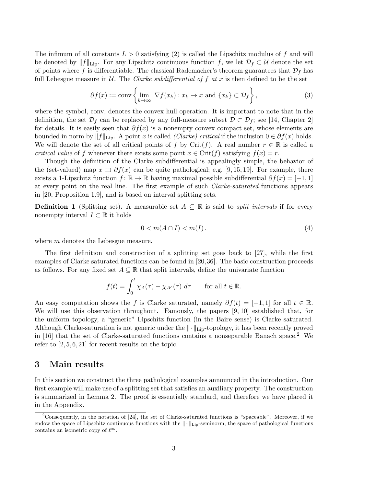The infimum of all constants  $L > 0$  satisfying (2) is called the Lipschitz modulus of f and will be denoted by  $||f||_{\text{Lip}}$ . For any Lipschitz continuous function f, we let  $\mathcal{D}_f \subset \mathcal{U}$  denote the set of points where f is differentiable. The classical Rademacher's theorem guarantees that  $\mathcal{D}_f$  has full Lebesgue measure in U. The Clarke subdifferential of f at x is then defined to be the set

$$
\partial f(x) := \text{conv}\left\{\lim_{k \to \infty} \nabla f(x_k) : x_k \to x \text{ and } \{x_k\} \subset \mathcal{D}_f\right\},\tag{3}
$$

where the symbol, conv, denotes the convex hull operation. It is important to note that in the definition, the set  $\mathcal{D}_f$  can be replaced by any full-measure subset  $\mathcal{D} \subset \mathcal{D}_f$ ; see [14, Chapter 2] for details. It is easily seen that  $\partial f(x)$  is a nonempty convex compact set, whose elements are bounded in norm by  $||f||_{\text{Lip}}$ . A point x is called *(Clarke) critical* if the inclusion  $0 \in \partial f(x)$  holds. We will denote the set of all critical points of f by Crit(f). A real number  $r \in \mathbb{R}$  is called a critical value of f whenever there exists some point  $x \in \text{Crit}(f)$  satisfying  $f(x) = r$ .

Though the definition of the Clarke subdifferential is appealingly simple, the behavior of the (set-valued) map  $x \rightrightarrows \partial f(x)$  can be quite pathological; e.g. [9, 15, 19]. For example, there exists a 1-Lipschitz function  $f: \mathbb{R} \to \mathbb{R}$  having maximal possible subdifferential  $\partial f(x) = [-1, 1]$ at every point on the real line. The first example of such Clarke-saturated functions appears in [20, Proposition 1.9], and is based on interval splitting sets.

**Definition 1** (Splitting set). A measurable set  $A \subseteq \mathbb{R}$  is said to *split intervals* if for every nonempty interval  $I \subset \mathbb{R}$  it holds

$$
0 < m(A \cap I) < m(I),\tag{4}
$$

where m denotes the Lebesgue measure.

The first definition and construction of a splitting set goes back to [27], while the first examples of Clarke saturated functions can be found in [20,36]. The basic construction proceeds as follows. For any fixed set  $A \subseteq \mathbb{R}$  that split intervals, define the univariate function

$$
f(t) = \int_0^t \chi_A(\tau) - \chi_{A^c}(\tau) d\tau \quad \text{for all } t \in \mathbb{R}.
$$

An easy computation shows the f is Clarke saturated, namely  $\partial f(t) = [-1,1]$  for all  $t \in \mathbb{R}$ . We will use this observation throughout. Famously, the papers [9, 10] established that, for the uniform topology, a "generic" Lipschitz function (in the Baire sense) is Clarke saturated. Although Clarke-saturation is not generic under the  $\|\cdot\|_{\text{Lip}}$ -topology, it has been recently proved in [16] that the set of Clarke-saturated functions contains a nonseparable Banach space.<sup>2</sup> We refer to  $[2, 5, 6, 21]$  for recent results on the topic.

### 3 Main results

In this section we construct the three pathological examples announced in the introduction. Our first example will make use of a splitting set that satisfies an auxiliary property. The construction is summarized in Lemma 2. The proof is essentially standard, and therefore we have placed it in the Appendix.

<sup>&</sup>lt;sup>2</sup>Consequently, in the notation of  $[24]$ , the set of Clarke-saturated functions is "spaceable". Moreover, if we endow the space of Lipschitz continuous functions with the  $\|\cdot\|_{\text{Lip}}$ -seminorm, the space of pathological functions contains an isometric copy of  $\ell^{\infty}$ .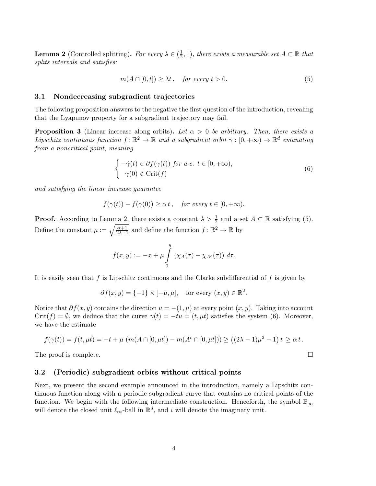**Lemma 2** (Controlled splitting). For every  $\lambda \in (\frac{1}{2})$  $(\frac{1}{2}, 1)$ , there exists a measurable set  $A \subset \mathbb{R}$  that splits intervals and satisfies:

$$
m(A \cap [0, t]) \ge \lambda t, \quad \text{for every } t > 0. \tag{5}
$$

#### 3.1 Nondecreasing subgradient trajectories

The following proposition answers to the negative the first question of the introduction, revealing that the Lyapunov property for a subgradient trajectory may fail.

**Proposition 3** (Linear increase along orbits). Let  $\alpha > 0$  be arbitrary. Then, there exists a Lipschitz continuous function  $f: \mathbb{R}^2 \to \mathbb{R}$  and a subgradient orbit  $\gamma : [0, +\infty) \to \mathbb{R}^d$  emanating from a noncritical point, meaning

$$
\begin{cases}\n-\dot{\gamma}(t) \in \partial f(\gamma(t)) \text{ for a.e. } t \in [0, +\infty), \\
\gamma(0) \notin \text{Crit}(f)\n\end{cases} \tag{6}
$$

and satisfying the linear increase guarantee

$$
f(\gamma(t)) - f(\gamma(0)) \ge \alpha t
$$
, for every  $t \in [0, +\infty)$ .

**Proof.** According to Lemma 2, there exists a constant  $\lambda > \frac{1}{2}$  and a set  $A \subset \mathbb{R}$  satisfying (5). Define the constant  $\mu := \sqrt{\frac{\alpha+1}{2\lambda-1}}$  and define the function  $f: \mathbb{R}^2 \to \mathbb{R}$  by

$$
f(x,y) := -x + \mu \int\limits_0^y \left( \chi_A(\tau) - \chi_{A^c}(\tau) \right) d\tau.
$$

It is easily seen that  $f$  is Lipschitz continuous and the Clarke subdifferential of  $f$  is given by

$$
\partial f(x, y) = \{-1\} \times [-\mu, \mu],
$$
 for every  $(x, y) \in \mathbb{R}^2$ .

Notice that  $\partial f(x, y)$  contains the direction  $u = -(1, \mu)$  at every point  $(x, y)$ . Taking into account Crit(f) =  $\emptyset$ , we deduce that the curve  $\gamma(t) = -tu = (t, \mu t)$  satisfies the system (6). Moreover, we have the estimate

$$
f(\gamma(t)) = f(t, \mu t) = -t + \mu \left( m(A \cap [0, \mu t]) - m(A^c \cap [0, \mu t]) \right) \ge ((2\lambda - 1)\mu^2 - 1) t \ge \alpha t.
$$

The proof is complete.  $\Box$ 

#### 3.2 (Periodic) subgradient orbits without critical points

Next, we present the second example announced in the introduction, namely a Lipschitz continuous function along with a periodic subgradient curve that contains no critical points of the function. We begin with the following intermediate construction. Henceforth, the symbol  $\mathbb{B}_{\infty}$ will denote the closed unit  $\ell_{\infty}$ -ball in  $\mathbb{R}^{d}$ , and i will denote the imaginary unit.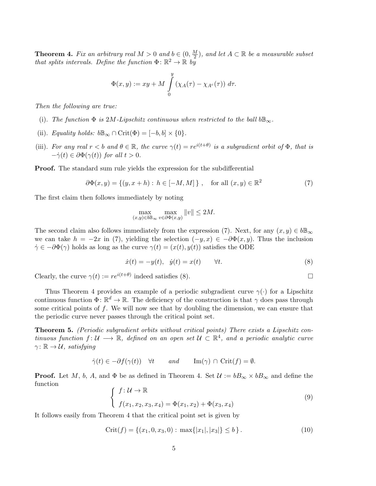**Theorem 4.** Fix an arbitrary real  $M > 0$  and  $b \in (0, \frac{M}{2})$  $\frac{M}{2}$ ), and let  $A \subset \mathbb{R}$  be a measurable subset that splits intervals. Define the function  $\Phi: \mathbb{R}^2 \to \mathbb{R}$  by

$$
\Phi(x,y) := xy + M \int\limits_{0}^{y} (\chi_A(\tau) - \chi_{A^c}(\tau)) d\tau.
$$

Then the following are true:

- (i). The function  $\Phi$  is 2M-Lipschitz continuous when restricted to the ball  $b\mathbb{B}_{\infty}$ .
- (ii). Equality holds:  $b\mathbb{B}_{\infty} \cap \mathrm{Crit}(\Phi) = [-b, b] \times \{0\}.$
- (iii). For any real  $r < b$  and  $\theta \in \mathbb{R}$ , the curve  $\gamma(t) = re^{i(t+\theta)}$  is a subgradient orbit of  $\Phi$ , that is  $-\dot{\gamma}(t) \in \partial \Phi(\gamma(t))$  for all  $t > 0$ .

Proof. The standard sum rule yields the expression for the subdifferential

$$
\partial \Phi(x, y) = \{ (y, x + h) : h \in [-M, M] \}, \quad \text{for all } (x, y) \in \mathbb{R}^2 \tag{7}
$$

The first claim then follows immediately by noting

$$
\max_{(x,y)\in b\mathbb{B}_{\infty}}\max_{v\in\partial\Phi(x,y)}\|v\|\leq 2M.
$$

The second claim also follows immediately from the expression (7). Next, for any  $(x, y) \in b\mathbb{B}_{\infty}$ we can take  $h = -2x$  in (7), yielding the selection  $(-y, x) \in -\partial \Phi(x, y)$ . Thus the inclusion  $\dot{\gamma} \in -\partial \Phi(\gamma)$  holds as long as the curve  $\gamma(t) = (x(t), y(t))$  satisfies the ODE

$$
\dot{x}(t) = -y(t), \quad \dot{y}(t) = x(t) \qquad \forall t.
$$
\n
$$
(8)
$$

Clearly, the curve  $\gamma(t) := re^{i(t+\theta)}$  indeed satisfies (8).

Thus Theorem 4 provides an example of a periodic subgradient curve  $\gamma(\cdot)$  for a Lipschitz continuous function  $\Phi: \mathbb{R}^d \to \mathbb{R}$ . The deficiency of the construction is that  $\gamma$  does pass through some critical points of  $f$ . We will now see that by doubling the dimension, we can ensure that the periodic curve never passes through the critical point set.

Theorem 5. (Periodic subgradient orbits without critical points) There exists a Lipschitz continuous function  $f: U \longrightarrow \mathbb{R}$ , defined on an open set  $U \subset \mathbb{R}^4$ , and a periodic analytic curve  $\gamma: \mathbb{R} \to \mathcal{U}$ , satisfying

$$
\dot{\gamma}(t) \in -\partial f(\gamma(t)) \quad \forall t \qquad and \qquad \text{Im}(\gamma) \cap \text{Crit}(f) = \emptyset.
$$

**Proof.** Let M, b, A, and  $\Phi$  be as defined in Theorem 4. Set  $\mathcal{U} := bB_{\infty} \times bB_{\infty}$  and define the function

$$
\begin{cases}\nf: \mathcal{U} \to \mathbb{R} \\
f(x_1, x_2, x_3, x_4) = \Phi(x_1, x_2) + \Phi(x_3, x_4)\n\end{cases} \tag{9}
$$

It follows easily from Theorem 4 that the critical point set is given by

$$
Crit(f) = \{ (x_1, 0, x_3, 0) : \max\{|x_1|, |x_3|\} \le b \}.
$$
\n(10)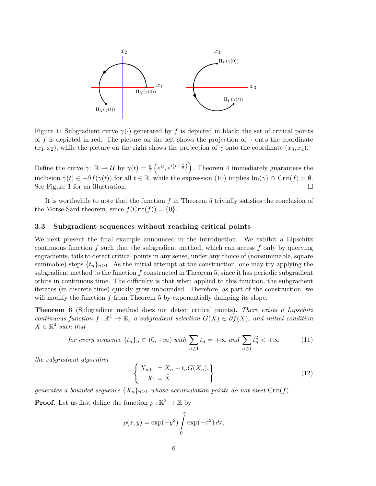

Figure 1: Subgradient curve  $\gamma(\cdot)$  generated by f is depicted in black; the set of critical points of f is depicted in red. The picture on the left shows the projection of  $\gamma$  onto the coordinate  $(x_1, x_2)$ , while the picture on the right shows the projection of  $\gamma$  onto the coordinate  $(x_3, x_4)$ .

Define the curve  $\gamma: \mathbb{R} \to \mathcal{U}$  by  $\gamma(t) = \frac{b}{2} \left( e^{it}, e^{i(t+\frac{\pi}{2})} \right)$ . Theorem 4 immediately guarantees the inclusion  $\dot{\gamma}(t) \in -\partial f(\gamma(t))$  for all  $t \in \mathbb{R}$ , while the expression (10) implies Im( $\gamma$ )  $\cap$  Crit( $f$ ) =  $\emptyset$ . See Figure 1 for an illustration.

It is worthwhile to note that the function f in Theorem 5 trivially satisfies the conclusion of the Morse-Sard theorem, since  $f(\text{Crit}(f)) = \{0\}.$ 

#### 3.3 Subgradient sequences without reaching critical points

We next present the final example announced in the introduction. We exhibit a Lipschitz continuous function f such that the subgradient method, which can access f only by querying sugradients, fails to detect critical points in any sense, under any choice of (nonsummable, square summable) steps  $\{t_n\}_{n\geq 1}$ . As the initial attempt at the construction, one may try applying the subgradient method to the function  $f$  constructed in Theorem 5, since it has periodic subgradient orbits in continuous time. The difficulty is that when applied to this function, the subgradient iterates (in discrete time) quickly grow unbounded. Therefore, as part of the construction, we will modify the function f from Theorem 5 by exponentially damping its slope.

**Theorem 6** (Subgradient method does not detect critical points). There exists a Lipschitz continuous function  $f: \mathbb{R}^4 \to \mathbb{R}$ , a subgradient selection  $G(X) \in \partial f(X)$ , and initial condition  $\bar{X} \in \mathbb{R}^4$  such that

for every sequence 
$$
\{t_n\}_n \subset (0, +\infty)
$$
 with  $\sum_{n\geq 1} t_n = +\infty$  and  $\sum_{n\geq 1} t_n^2 < +\infty$  (11)

the subgradient algorithm

$$
\begin{cases} X_{n+1} = X_n - t_n G(X_n), \\ X_1 = \bar{X} \end{cases}
$$
\n(12)

generates a bounded sequence  $\{X_n\}_{n\geq 1}$  whose accumulation points do not meet Crit(f).

**Proof.** Let us first define the function  $\rho : \mathbb{R}^2 \to \mathbb{R}$  by

$$
\rho(x,y) = \exp(-y^2) \int_0^x \exp(-\tau^2) d\tau,
$$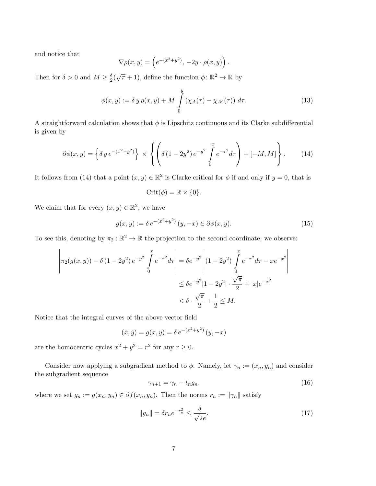and notice that

$$
\nabla \rho(x, y) = \left( e^{-(x^2 + y^2)}, -2y \cdot \rho(x, y) \right).
$$

Then for  $\delta > 0$  and  $M \geq \frac{\delta}{2}$  $\frac{\delta}{2}(\sqrt{\pi}+1)$ , define the function  $\phi: \mathbb{R}^2 \to \mathbb{R}$  by

$$
\phi(x,y) := \delta y \rho(x,y) + M \int\limits_0^y (\chi_A(\tau) - \chi_{A^c}(\tau)) d\tau.
$$
 (13)

A straightforward calculation shows that  $\phi$  is Lipschitz continuous and its Clarke subdifferential is given by

$$
\partial \phi(x,y) = \left\{ \delta y \, e^{-(x^2 + y^2)} \right\} \times \left\{ \left( \delta (1 - 2y^2) \, e^{-y^2} \int_0^x e^{-\tau^2} d\tau \right) + [-M, M] \right\} . \tag{14}
$$

It follows from (14) that a point  $(x, y) \in \mathbb{R}^2$  is Clarke critical for  $\phi$  if and only if  $y = 0$ , that is

$$
Crit(\phi) = \mathbb{R} \times \{0\}.
$$

We claim that for every  $(x, y) \in \mathbb{R}^2$ , we have

$$
g(x, y) := \delta e^{-(x^2 + y^2)} (y, -x) \in \partial \phi(x, y).
$$
 (15)

 $\overline{\phantom{a}}$  $\overline{\phantom{a}}$ I I  $\overline{\phantom{a}}$  $\overline{\phantom{a}}$ 

To see this, denoting by  $\pi_2 : \mathbb{R}^2 \to \mathbb{R}$  the projection to the second coordinate, we observe:

$$
\left| \pi_2(g(x,y)) - \delta (1 - 2y^2) e^{-y^2} \int_0^x e^{-\tau^2} d\tau \right| = \delta e^{-y^2} \left| (1 - 2y^2) \int_0^x e^{-\tau^2} d\tau - x e^{-x^2} \right|
$$
  

$$
\leq \delta e^{-y^2} |1 - 2y^2| \cdot \frac{\sqrt{\pi}}{2} + |x| e^{-x^2}
$$
  

$$
< \delta \cdot \frac{\sqrt{\pi}}{2} + \frac{1}{2} \leq M.
$$

Notice that the integral curves of the above vector field

$$
(\dot{x}, \dot{y}) = g(x, y) = \delta e^{-(x^2 + y^2)} (y, -x)
$$

are the homocentric cycles  $x^2 + y^2 = r^2$  for any  $r \ge 0$ .

Consider now applying a subgradient method to  $\phi$ . Namely, let  $\gamma_n := (x_n, y_n)$  and consider the subgradient sequence

$$
\gamma_{n+1} = \gamma_n - t_n g_n,\tag{16}
$$

where we set  $g_n := g(x_n, y_n) \in \partial f(x_n, y_n)$ . Then the norms  $r_n := ||\gamma_n||$  satisfy

$$
||g_n|| = \delta r_n e^{-r_n^2} \le \frac{\delta}{\sqrt{2e}}.
$$
\n(17)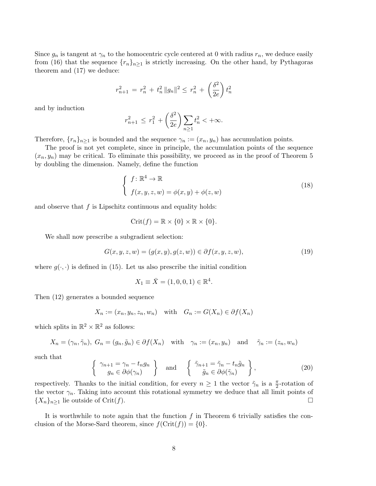Since  $g_n$  is tangent at  $\gamma_n$  to the homocentric cycle centered at 0 with radius  $r_n$ , we deduce easily from (16) that the sequence  $\{r_n\}_{n\geq 1}$  is strictly increasing. On the other hand, by Pythagoras theorem and (17) we deduce:

$$
r_{n+1}^2 = r_n^2 + t_n^2 \|g_n\|^2 \le r_n^2 + \left(\frac{\delta^2}{2e}\right) t_n^2
$$

and by induction

$$
r_{n+1}^2 \le r_1^2 + \left(\frac{\delta^2}{2e}\right) \sum_{n\ge 1} t_n^2 < +\infty.
$$

Therefore,  $\{r_n\}_{n>1}$  is bounded and the sequence  $\gamma_n := (x_n, y_n)$  has accumulation points.

The proof is not yet complete, since in principle, the accumulation points of the sequence  $(x_n, y_n)$  may be critical. To eliminate this possibility, we proceed as in the proof of Theorem 5 by doubling the dimension. Namely, define the function

$$
\begin{cases}\nf: \mathbb{R}^4 \to \mathbb{R} \\
f(x, y, z, w) = \phi(x, y) + \phi(z, w)\n\end{cases}
$$
\n(18)

and observe that  $f$  is Lipschitz continuous and equality holds:

$$
Crit(f) = \mathbb{R} \times \{0\} \times \mathbb{R} \times \{0\}.
$$

We shall now prescribe a subgradient selection:

$$
G(x, y, z, w) = (g(x, y), g(z, w)) \in \partial f(x, y, z, w), \tag{19}
$$

where  $g(\cdot, \cdot)$  is defined in (15). Let us also prescribe the initial condition

$$
X_1 \equiv \bar{X} = (1, 0, 0, 1) \in \mathbb{R}^4.
$$

Then (12) generates a bounded sequence

$$
X_n := (x_n, y_n, z_n, w_n) \quad \text{with} \quad G_n := G(X_n) \in \partial f(X_n)
$$

which splits in  $\mathbb{R}^2 \times \mathbb{R}^2$  as follows:

$$
X_n = (\gamma_n, \tilde{\gamma}_n), G_n = (g_n, \tilde{g}_n) \in \partial f(X_n)
$$
 with  $\gamma_n := (x_n, y_n)$  and  $\tilde{\gamma}_n := (z_n, w_n)$ 

such that

$$
\left\{\begin{array}{c}\gamma_{n+1} = \gamma_n - t_n g_n\\ g_n \in \partial \phi(\gamma_n)\end{array}\right\} \quad \text{and} \quad \left\{\begin{array}{c}\tilde{\gamma}_{n+1} = \tilde{\gamma}_n - t_n \tilde{g}_n\\ \tilde{g}_n \in \partial \phi(\tilde{\gamma}_n)\end{array}\right\},\tag{20}
$$

respectively. Thanks to the initial condition, for every  $n \geq 1$  the vector  $\tilde{\gamma}_n$  is a  $\frac{\pi}{2}$ -rotation of the vector  $\gamma_n$ . Taking into account this rotational symmetry we deduce that all limit points of  ${X_n}_{n\geq 1}$  lie outside of Crit(f).

It is worthwhile to note again that the function  $f$  in Theorem 6 trivially satisfies the conclusion of the Morse-Sard theorem, since  $f(\text{Crit}(f)) = \{0\}.$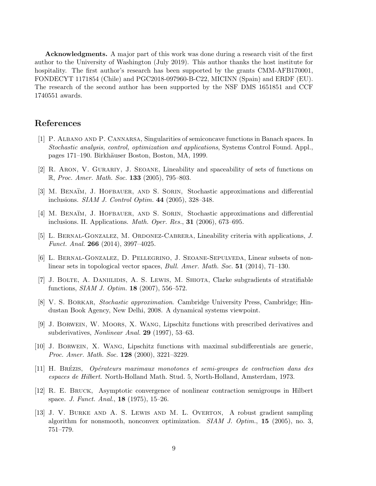Acknowledgments. A major part of this work was done during a research visit of the first author to the University of Washington (July 2019). This author thanks the host institute for hospitality. The first author's research has been supported by the grants CMM-AFB170001, FONDECYT 1171854 (Chile) and PGC2018-097960-B-C22, MICINN (Spain) and ERDF (EU). The research of the second author has been supported by the NSF DMS 1651851 and CCF 1740551 awards.

## References

- [1] P. Albano and P. Cannarsa, Singularities of semiconcave functions in Banach spaces. In Stochastic analysis, control, optimization and applications, Systems Control Found. Appl., pages 171–190. Birkh¨auser Boston, Boston, MA, 1999.
- [2] R. Aron, V. Gurariy, J. Seoane, Lineability and spaceability of sets of functions on  $\mathbb{R}$ , Proc. Amer. Math. Soc. 133 (2005), 795–803.
- [3] M. BENAÏM, J. HOFBAUER, AND S. SORIN, Stochastic approximations and differential inclusions. SIAM J. Control Optim. 44 (2005), 328–348.
- [4] M. BENAÏM, J. HOFBAUER, AND S. SORIN, Stochastic approximations and differential inclusions. II. Applications. Math. Oper. Res., 31 (2006), 673–695.
- [5] L. Bernal-Gonzalez, M. Ordonez-Cabrera, Lineability criteria with applications, J. Funct. Anal. 266 (2014), 3997–4025.
- [6] L. Bernal-Gonzalez, D. Pellegrino, J. Seoane-Sepulveda, Linear subsets of nonlinear sets in topological vector spaces, Bull. Amer. Math. Soc. 51 (2014), 71–130.
- [7] J. Bolte, A. Daniilidis, A. S. Lewis, M. Shiota, Clarke subgradients of stratifiable functions, SIAM J. Optim. 18 (2007), 556–572.
- [8] V. S. BORKAR, Stochastic approximation. Cambridge University Press, Cambridge; Hindustan Book Agency, New Delhi, 2008. A dynamical systems viewpoint.
- [9] J. Borwein, W. Moors, X. Wang, Lipschitz functions with prescribed derivatives and subderivatives, Nonlinear Anal. 29 (1997), 53–63.
- [10] J. Borwein, X. Wang, Lipschitz functions with maximal subdifferentials are generic, Proc. Amer. Math. Soc. 128 (2000), 3221–3229.
- [11] H. Brezis ´ , Op´erateurs maximaux monotones et semi-groupes de contraction dans des espaces de Hilbert. North-Holland Math. Stud. 5, North-Holland, Amsterdam, 1973.
- [12] R. E. Bruck, Asymptotic convergence of nonlinear contraction semigroups in Hilbert space. J. Funct. Anal., 18 (1975), 15–26.
- [13] J. V. Burke and A. S. Lewis and M. L. Overton, A robust gradient sampling algorithm for nonsmooth, nonconvex optimization.  $SIAM$  J. Optim., 15 (2005), no. 3, 751–779.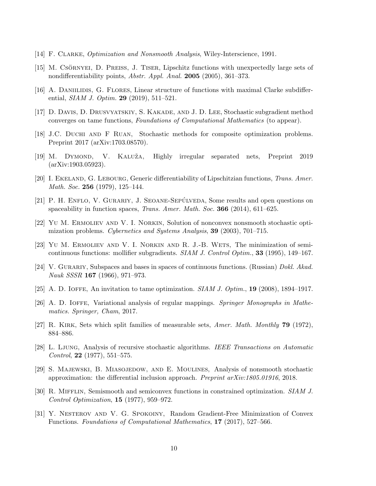- [14] F. Clarke, Optimization and Nonsmooth Analysis, Wiley-Interscience, 1991.
- [15] M. CSÖRNYEI, D. PREISS, J. TISER, Lipschitz functions with unexpectedly large sets of nondifferentiability points, *Abstr. Appl. Anal.* **2005** (2005), 361–373.
- [16] A. DANIILIDIS, G. FLORES, Linear structure of functions with maximal Clarke subdifferential, *SIAM J. Optim.* **29** (2019), 511–521.
- [17] D. DAVIS, D. DRUSVYATSKIY, S. KAKADE, AND J. D. LEE, Stochastic subgradient method converges on tame functions, Foundations of Computational Mathematics (to appear).
- [18] J.C. Duchi and F Ruan, Stochastic methods for composite optimization problems. Preprint 2017 (arXiv:1703.08570).
- [19] M. Dymond, V. Kaluˇza, Highly irregular separated nets, Preprint 2019 (arXiv:1903.05923).
- [20] I. EKELAND, G. LEBOURG, Generic differentiability of Lipschitzian functions, Trans. Amer. Math. Soc. **256** (1979), 125–144.
- [21] P. H. ENFLO, V. GURARIY, J. SEOANE-SEPÚLVEDA, Some results and open questions on spaceability in function spaces, *Trans. Amer. Math. Soc.* **366** (2014), 611–625.
- [22] Yu M. Ermoliev and V. I. Norkin, Solution of nonconvex nonsmooth stochastic optimization problems. Cybernetics and Systems Analysis, 39 (2003), 701–715.
- [23] Yu M. Ermoliev and V. I. Norkin and R. J.-B. Wets, The minimization of semicontinuous functions: mollifier subgradients. SIAM J. Control Optim., 33 (1995), 149–167.
- [24] V. GURARIY, Subspaces and bases in spaces of continuous functions. (Russian) Dokl. Akad. Nauk SSSR 167 (1966), 971–973.
- [25] A. D. IOFFE, An invitation to tame optimization.  $SIAM J.$  Optim., 19 (2008), 1894–1917.
- [26] A. D. IOFFE, Variational analysis of regular mappings. Springer Monographs in Mathematics. Springer, Cham, 2017.
- [27] R. Kirk, Sets which split families of measurable sets, Amer. Math. Monthly 79 (1972), 884–886.
- [28] L. Ljung, Analysis of recursive stochastic algorithms. IEEE Transactions on Automatic Control, **22** (1977), 551–575.
- [29] S. Majewski, B. Miasojedow, and E. Moulines, Analysis of nonsmooth stochastic approximation: the differential inclusion approach. Preprint arXiv:1805.01916, 2018.
- [30] R. Mifflin, Semismooth and semiconvex functions in constrained optimization. SIAM J. Control Optimization, 15 (1977), 959–972.
- [31] Y. Nesterov and V. G. Spokoiny, Random Gradient-Free Minimization of Convex Functions. Foundations of Computational Mathematics, 17 (2017), 527–566.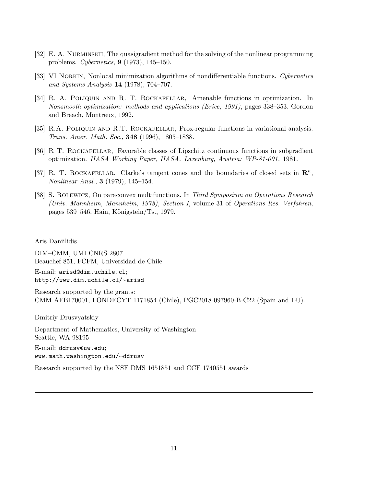- [32] E. A. Nurminskii, The quasigradient method for the solving of the nonlinear programming problems. Cybernetics, 9 (1973), 145–150.
- [33] VI NORKIN, Nonlocal minimization algorithms of nondifferentiable functions. Cypernetics and Systems Analysis 14 (1978), 704–707.
- [34] R. A. Poliquin and R. T. Rockafellar, Amenable functions in optimization. In Nonsmooth optimization: methods and applications (Erice, 1991), pages 338–353. Gordon and Breach, Montreux, 1992.
- [35] R.A. Poliquin and R.T. Rockafellar, Prox-regular functions in variational analysis. Trans. Amer. Math. Soc., 348 (1996), 1805–1838.
- [36] R T. Rockafellar, Favorable classes of Lipschitz continuous functions in subgradient optimization. IIASA Working Paper, IIASA, Laxenburg, Austria: WP-81-001, 1981.
- [37] R. T. ROCKAFELLAR, Clarke's tangent cones and the boundaries of closed sets in  $\mathbb{R}^n$ , Nonlinear Anal., 3 (1979), 145–154.
- [38] S. Rolewicz, On paraconvex multifunctions. In Third Symposium on Operations Research (Univ. Mannheim, Mannheim, 1978), Section I, volume 31 of Operations Res. Verfahren, pages 539–546. Hain, Königstein/Ts., 1979.

Aris Daniilidis

DIM–CMM, UMI CNRS 2807 Beauchef 851, FCFM, Universidad de Chile

E-mail: arisd@dim.uchile.cl; http://www.dim.uchile.cl/∼arisd

Research supported by the grants: CMM AFB170001, FONDECYT 1171854 (Chile), PGC2018-097960-B-C22 (Spain and EU).

Dmitriy Drusvyatskiy

Department of Mathematics, University of Washington Seattle, WA 98195 E-mail: ddrusv@uw.edu; www.math.washington.edu/∼ddrusv

Research supported by the NSF DMS 1651851 and CCF 1740551 awards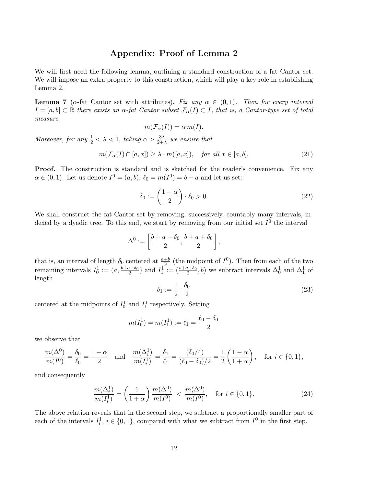# Appendix: Proof of Lemma 2

We will first need the following lemma, outlining a standard construction of a fat Cantor set. We will impose an extra property to this construction, which will play a key role in establishing Lemma 2.

**Lemma 7** ( $\alpha$ -fat Cantor set with attributes). Fix any  $\alpha \in (0,1)$ . Then for every interval  $I = [a, b] \subset \mathbb{R}$  there exists an  $\alpha$ -fat Cantor subset  $\mathcal{F}_{\alpha}(I) \subset I$ , that is, a Cantor-type set of total measure

$$
m(\mathcal{F}_{\alpha}(I)) = \alpha m(I).
$$

Moreover, for any  $\frac{1}{2} < \lambda < 1$ , taking  $\alpha > \frac{3\lambda}{2+\lambda}$  we ensure that

$$
m(\mathcal{F}_{\alpha}(I) \cap [a, x]) \ge \lambda \cdot m([a, x]), \quad \text{for all } x \in [a, b]. \tag{21}
$$

Proof. The construction is standard and is sketched for the reader's convenience. Fix any  $\alpha \in (0,1)$ . Let us denote  $I^0 = (a, b), \ell_0 = m(I^0) = b - a$  and let us set:

$$
\delta_0 := \left(\frac{1-\alpha}{2}\right) \cdot \ell_0 > 0. \tag{22}
$$

We shall construct the fat-Cantor set by removing, successively, countably many intervals, indexed by a dyadic tree. To this end, we start by removing from our initial set  $I^0$  the interval

$$
\Delta^0 := \left[\frac{b+a-\delta_0}{2}, \frac{b+a+\delta_0}{2}\right],
$$

that is, an interval of length  $\delta_0$  centered at  $\frac{a+b}{2}$  (the midpoint of  $I^0$ ). Then from each of the two remaining intervals  $I_0^1 := (a, \frac{b+a-\delta_0}{2})$  and  $I_1^1 := (\frac{b+a+\delta_0}{2}, b)$  we subtract intervals  $\Delta_0^1$  and  $\Delta_1^1$  of length

$$
\delta_1 := \frac{1}{2} \cdot \frac{\delta_0}{2} \tag{23}
$$

centered at the midpoints of  $I_0^1$  and  $I_1^1$  respectively. Setting

$$
m(I_0^1) = m(I_1^1) := \ell_1 = \frac{\ell_0 - \delta_0}{2}
$$

we observe that

$$
\frac{m(\Delta^0)}{m(I^0)} = \frac{\delta_0}{\ell_0} = \frac{1-\alpha}{2} \quad \text{and} \quad \frac{m(\Delta_i^1)}{m(I_i^1)} = \frac{\delta_1}{\ell_1} = \frac{(\delta_0/4)}{(\ell_0 - \delta_0)/2} = \frac{1}{2} \left( \frac{1-\alpha}{1+\alpha} \right), \quad \text{for } i \in \{0, 1\},
$$

and consequently

$$
\frac{m(\Delta_i^1)}{m(I_i^1)} = \left(\frac{1}{1+\alpha}\right) \frac{m(\Delta^0)}{m(I^0)} < \frac{m(\Delta^0)}{m(I^0)}, \quad \text{for } i \in \{0, 1\}.\tag{24}
$$

The above relation reveals that in the second step, we subtract a proportionally smaller part of each of the intervals  $I_i^1$ ,  $i \in \{0,1\}$ , compared with what we subtract from  $I^0$  in the first step.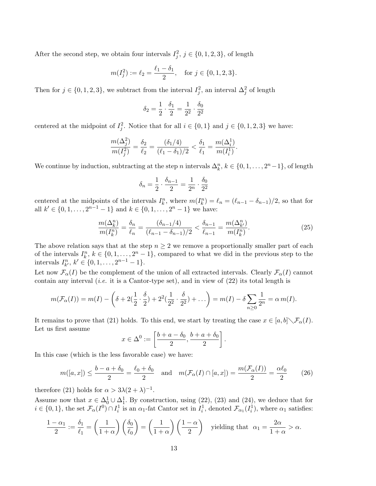After the second step, we obtain four intervals  $I_j^2$ ,  $j \in \{0, 1, 2, 3\}$ , of length

$$
m(I_j^2) := \ell_2 = \frac{\ell_1 - \delta_1}{2}
$$
, for  $j \in \{0, 1, 2, 3\}$ .

Then for  $j \in \{0, 1, 2, 3\}$ , we subtract from the interval  $I_j^2$ , an interval  $\Delta_j^2$  of length

$$
\delta_2 = \frac{1}{2} \cdot \frac{\delta_1}{2} = \frac{1}{2^2} \cdot \frac{\delta_0}{2^2}
$$

centered at the midpoint of  $I_j^2$ . Notice that for all  $i \in \{0,1\}$  and  $j \in \{0,1,2,3\}$  we have:

$$
\frac{m(\Delta_j^2)}{m(I_j^2)} = \frac{\delta_2}{\ell_2} = \frac{(\delta_1/4)}{(\ell_1 - \delta_1)/2} < \frac{\delta_1}{\ell_1} = \frac{m(\Delta_i^1)}{m(I_i^1)}.
$$

We continue by induction, subtracting at the step n intervals  $\Delta_k^n$ ,  $k \in \{0, 1, ..., 2^n-1\}$ , of length

$$
\delta_n=\frac{1}{2}\cdot\frac{\delta_{n-1}}{2}=\frac{1}{2^n}\cdot\frac{\delta_0}{2^2}
$$

centered at the midpoints of the intervals  $I_k^n$ , where  $m(I_k^n) = \ell_n = (\ell_{n-1} - \delta_{n-1})/2$ , so that for all  $k' \in \{0, 1, \ldots, 2^{n-1} - 1\}$  and  $k \in \{0, 1, \ldots, 2^n - 1\}$  we have:

$$
\frac{m(\Delta_k^n)}{m(I_k^n)} = \frac{\delta_n}{\ell_n} = \frac{(\delta_{n-1}/4)}{(\ell_{n-1} - \delta_{n-1})/2} < \frac{\delta_{n-1}}{\ell_{n-1}} = \frac{m(\Delta_{k'}^n)}{m(I_k^n)}.\tag{25}
$$

The above relation says that at the step  $n \geq 2$  we remove a proportionally smaller part of each of the intervals  $I_k^n$ ,  $k \in \{0, 1, \ldots, 2^n - 1\}$ , compared to what we did in the previous step to the intervals  $I_{k'}^n, k' \in \{0, 1, \ldots, 2^{n-1} - 1\}.$ 

Let now  $\mathcal{F}_{\alpha}(I)$  be the complement of the union of all extracted intervals. Clearly  $\mathcal{F}_{\alpha}(I)$  cannot contain any interval (*i.e.* it is a Cantor-type set), and in view of  $(22)$  its total length is

$$
m(\mathcal{F}_{\alpha}(I)) = m(I) - \left(\delta + 2(\frac{1}{2}\cdot\frac{\delta}{2}) + 2^{2}(\frac{1}{2^{2}}\cdot\frac{\delta}{2^{2}}) + \dots\right) = m(I) - \delta \sum_{n\geq 0} \frac{1}{2^{n}} = \alpha m(I).
$$

It remains to prove that (21) holds. To this end, we start by treating the case  $x \in [a, b] \setminus \mathcal{F}_{\alpha}(I)$ . Let us first assume

$$
x \in \Delta^0 := \left[\frac{b+a-\delta_0}{2}, \frac{b+a+\delta_0}{2}\right].
$$

In this case (which is the less favorable case) we have:

$$
m([a,x]) \le \frac{b-a+\delta_0}{2} = \frac{\ell_0+\delta_0}{2} \quad \text{and} \quad m(\mathcal{F}_\alpha(I) \cap [a,x]) = \frac{m(\mathcal{F}_\alpha(I))}{2} = \frac{\alpha \ell_0}{2} \tag{26}
$$

therefore (21) holds for  $\alpha > 3\lambda(2+\lambda)^{-1}$ .

Assume now that  $x \in \Delta_0^1 \cup \Delta_1^1$ . By construction, using (22), (23) and (24), we deduce that for  $i \in \{0,1\}$ , the set  $\mathcal{F}_{\alpha}(I^0) \cap I_i^1$  is an  $\alpha_1$ -fat Cantor set in  $I_i^1$ , denoted  $\mathcal{F}_{\alpha_1}(I_i^1)$ , where  $\alpha_1$  satisfies:

$$
\frac{1-\alpha_1}{2} := \frac{\delta_1}{\ell_1} = \left(\frac{1}{1+\alpha}\right) \left(\frac{\delta_0}{\ell_0}\right) = \left(\frac{1}{1+\alpha}\right) \left(\frac{1-\alpha}{2}\right) \quad \text{yielding that} \quad \alpha_1 = \frac{2\alpha}{1+\alpha} > \alpha.
$$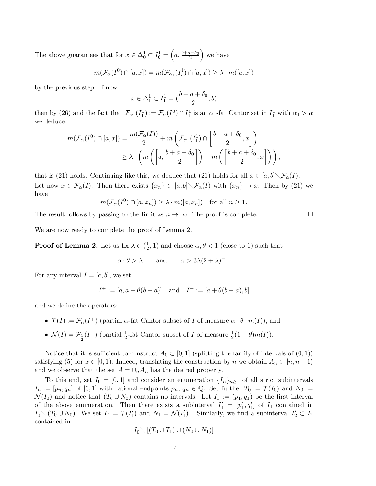The above guarantees that for  $x \in \Delta_0^1 \subset I_0^1 = \left( a, \frac{b+a-\delta_0}{2} \right)$  we have

$$
m(\mathcal{F}_{\alpha}(I^0) \cap [a, x]) = m(\mathcal{F}_{\alpha_1}(I_i^1) \cap [a, x]) \ge \lambda \cdot m([a, x])
$$

by the previous step. If now

$$
x \in \Delta_1^1 \subset I_1^1 = (\frac{b+a+\delta_0}{2}, b)
$$

then by (26) and the fact that  $\mathcal{F}_{\alpha_1}(I_1^1) := \mathcal{F}_{\alpha}(I^0) \cap I_1^1$  is an  $\alpha_1$ -fat Cantor set in  $I_1^1$  with  $\alpha_1 > \alpha$ we deduce:

$$
m(\mathcal{F}_{\alpha}(I^0) \cap [a, x]) = \frac{m(\mathcal{F}_{\alpha}(I))}{2} + m\left(\mathcal{F}_{\alpha_1}(I_1^1) \cap \left[\frac{b+a+\delta_0}{2}, x\right]\right)
$$
  

$$
\geq \lambda \cdot \left(m\left(\left[a, \frac{b+a+\delta_0}{2}\right]\right) + m\left(\left[\frac{b+a+\delta_0}{2}, x\right]\right)\right),
$$

that is (21) holds. Continuing like this, we deduce that (21) holds for all  $x \in [a, b] \setminus \mathcal{F}_{\alpha}(I)$ . Let now  $x \in \mathcal{F}_{\alpha}(I)$ . Then there exists  $\{x_n\} \subset [a, b] \setminus \mathcal{F}_{\alpha}(I)$  with  $\{x_n\} \to x$ . Then by (21) we have

$$
m(\mathcal{F}_{\alpha}(I^0) \cap [a, x_n]) \geq \lambda \cdot m([a, x_n])
$$
 for all  $n \geq 1$ .

The result follows by passing to the limit as  $n \to \infty$ . The proof is complete.

We are now ready to complete the proof of Lemma 2.

**Proof of Lemma 2.** Let us fix  $\lambda \in \left(\frac{1}{2}\right)$  $(\frac{1}{2}, 1)$  and choose  $\alpha, \theta < 1$  (close to 1) such that

$$
\alpha \cdot \theta > \lambda
$$
 and  $\alpha > 3\lambda(2+\lambda)^{-1}$ .

For any interval  $I = [a, b]$ , we set

$$
I^+ := [a, a + \theta(b - a)] \text{ and } I^- := [a + \theta(b - a), b]
$$

and we define the operators:

- $\mathcal{T}(I) := \mathcal{F}_{\alpha}(I^+)$  (partial  $\alpha$ -fat Cantor subset of I of measure  $\alpha \cdot \theta \cdot m(I)$ ), and
- $\mathcal{N}(I) = \mathcal{F}_{\frac{1}{2}}(I^-)$  (partial  $\frac{1}{2}$ -fat Cantor subset of I of measure  $\frac{1}{2}(1-\theta)m(I)$ ).

Notice that it is sufficient to construct  $A_0 \subset [0,1]$  (splitting the family of intervals of  $(0,1)$ ) satisfying (5) for  $x \in [0, 1)$ . Indeed, translating the construction by n we obtain  $A_n \subset [n, n+1)$ and we observe that the set  $A = \bigcup_n A_n$  has the desired property.

To this end, set  $I_0 = [0, 1]$  and consider an enumeration  $\{I_n\}_{n\geq 1}$  of all strict subintervals  $I_n := [p_n, q_n]$  of  $[0, 1]$  with rational endpoints  $p_n, q_n \in \mathbb{Q}$ . Set further  $T_0 := \mathcal{T}(I_0)$  and  $N_0 :=$  $\mathcal{N}(I_0)$  and notice that  $(T_0 \cup N_0)$  contains no intervals. Let  $I_1 := (p_1, q_1)$  be the first interval of the above enumeration. Then there exists a subinterval  $I'_1 = [p'_1, q'_1]$  of  $I_1$  contained in  $I_0 \setminus (T_0 \cup N_0)$ . We set  $T_1 = \mathcal{T}(I'_1)$  and  $N_1 = \mathcal{N}(I'_1)$ . Similarly, we find a subinterval  $I'_2 \subset I_2$ contained in

$$
I_0 \diagdown [ (T_0 \cup T_1) \cup (N_0 \cup N_1)]
$$